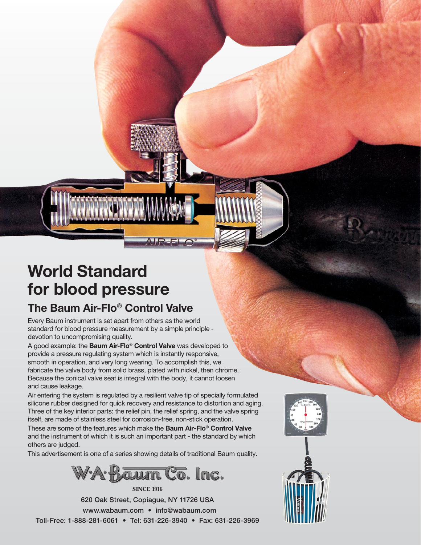# **World Standard for blood pressure**

## **The Baum Air-Flo**® **Control Valve**

Every Baum instrument is set apart from others as the world standard for blood pressure measurement by a simple principle devotion to uncompromising quality.

A good example: the **Baum Air-Flo**® **Control Valve** was developed to provide a pressure regulating system which is instantly responsive, smooth in operation, and very long wearing. To accomplish this, we fabricate the valve body from solid brass, plated with nickel, then chrome. Because the conical valve seat is integral with the body, it cannot loosen and cause leakage.

Air entering the system is regulated by a resilient valve tip of specially formulated silicone rubber designed for quick recovery and resistance to distortion and aging. Three of the key interior parts: the relief pin, the relief spring, and the valve spring itself, are made of stainless steel for corrosion-free, non-stick operation.

These are some of the features which make the **Baum Air-Flo**® **Control Valve** and the instrument of which it is such an important part - the standard by which others are judged.

This advertisement is one of a series showing details of traditional Baum quality.



**Since 1916**